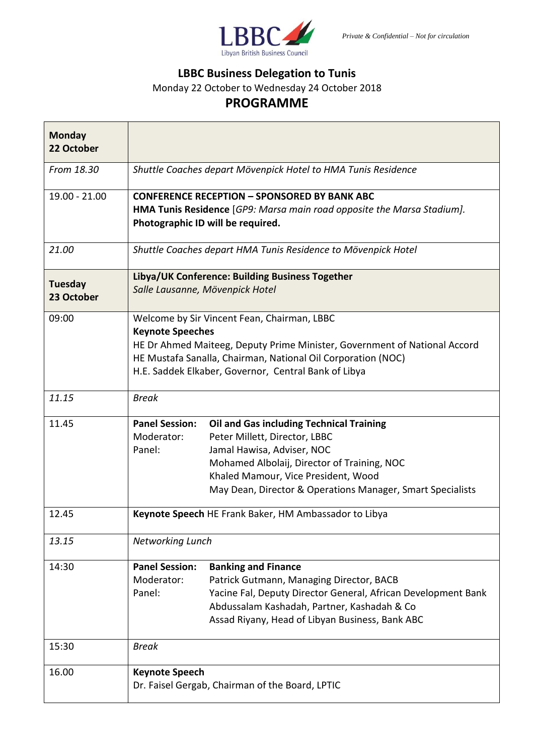

## **LBBC Business Delegation to Tunis**

Monday 22 October to Wednesday 24 October 2018

## **PROGRAMME**

| <b>Monday</b><br>22 October  |                                                                                                                                                                                                                                                                             |                                                                                                                                                                                                                                                                    |
|------------------------------|-----------------------------------------------------------------------------------------------------------------------------------------------------------------------------------------------------------------------------------------------------------------------------|--------------------------------------------------------------------------------------------------------------------------------------------------------------------------------------------------------------------------------------------------------------------|
| From 18.30                   | Shuttle Coaches depart Mövenpick Hotel to HMA Tunis Residence                                                                                                                                                                                                               |                                                                                                                                                                                                                                                                    |
| $19.00 - 21.00$              | <b>CONFERENCE RECEPTION - SPONSORED BY BANK ABC</b><br>HMA Tunis Residence [GP9: Marsa main road opposite the Marsa Stadium].<br>Photographic ID will be required.                                                                                                          |                                                                                                                                                                                                                                                                    |
| 21.00                        | Shuttle Coaches depart HMA Tunis Residence to Mövenpick Hotel                                                                                                                                                                                                               |                                                                                                                                                                                                                                                                    |
| <b>Tuesday</b><br>23 October | Libya/UK Conference: Building Business Together<br>Salle Lausanne, Mövenpick Hotel                                                                                                                                                                                          |                                                                                                                                                                                                                                                                    |
| 09:00                        | Welcome by Sir Vincent Fean, Chairman, LBBC<br><b>Keynote Speeches</b><br>HE Dr Ahmed Maiteeg, Deputy Prime Minister, Government of National Accord<br>HE Mustafa Sanalla, Chairman, National Oil Corporation (NOC)<br>H.E. Saddek Elkaber, Governor, Central Bank of Libya |                                                                                                                                                                                                                                                                    |
| 11.15                        | <b>Break</b>                                                                                                                                                                                                                                                                |                                                                                                                                                                                                                                                                    |
| 11.45                        | <b>Panel Session:</b><br>Moderator:<br>Panel:                                                                                                                                                                                                                               | <b>Oil and Gas including Technical Training</b><br>Peter Millett, Director, LBBC<br>Jamal Hawisa, Adviser, NOC<br>Mohamed Albolaij, Director of Training, NOC<br>Khaled Mamour, Vice President, Wood<br>May Dean, Director & Operations Manager, Smart Specialists |
| 12.45                        | Keynote Speech HE Frank Baker, HM Ambassador to Libya                                                                                                                                                                                                                       |                                                                                                                                                                                                                                                                    |
| 13.15                        | Networking Lunch                                                                                                                                                                                                                                                            |                                                                                                                                                                                                                                                                    |
| 14:30                        | <b>Panel Session:</b><br>Moderator:<br>Panel:                                                                                                                                                                                                                               | <b>Banking and Finance</b><br>Patrick Gutmann, Managing Director, BACB<br>Yacine Fal, Deputy Director General, African Development Bank<br>Abdussalam Kashadah, Partner, Kashadah & Co<br>Assad Riyany, Head of Libyan Business, Bank ABC                          |
| 15:30                        | <b>Break</b>                                                                                                                                                                                                                                                                |                                                                                                                                                                                                                                                                    |
| 16.00                        | <b>Keynote Speech</b><br>Dr. Faisel Gergab, Chairman of the Board, LPTIC                                                                                                                                                                                                    |                                                                                                                                                                                                                                                                    |